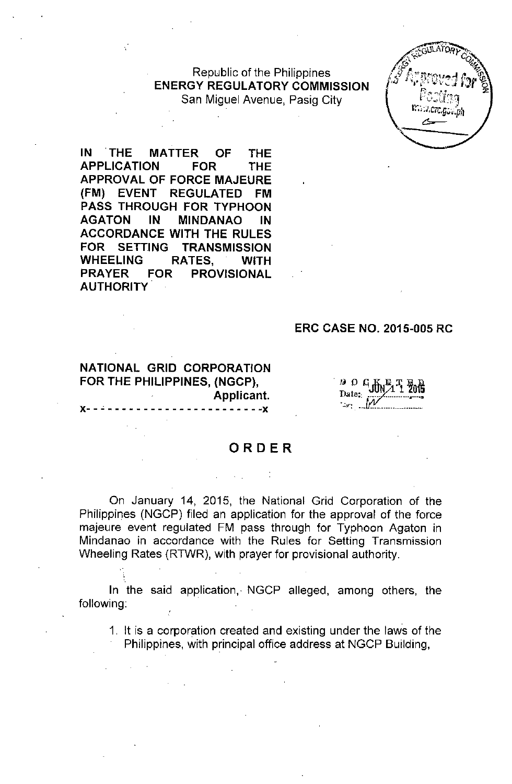Republic of the Philippines **ENERGY REGULATORY COMMISSION** San Miguel Avenue, Pasig City

IN THE **MATTER OF THE APPLICATION FOR THE APPROVAL OF FORCE MAJEURE (FM) EVENT REGULATED FM PASS THROUGH FOR TYPHOON AGATON IN MINDANAO IN ACCORDANCE WITH THE RULES FOR SETTING TRANSMISSION WHEELING RATES, WITH PRAYER FOR PROVISIONAL AUTHORITY**

#### **ERC CASE NO. 2015-005 RC**

**NATIONAL GRID CORPORATION FOR THE PHILIPPINES, (NGCP), Applicant.**  $- - - - - - - - -$ 

. lJ *0* C;Jlfulil 3J. **%15** Date: *.,.: ..vv.::: .\_\_*

#### **ORDER**

 $\mathcal{L} = \mathcal{L} \times \mathcal{L} = \mathcal{L} \times \mathcal{L}$ 

On January 14, 2015, the National Grid Corporation of the Philippines (NGCP) filed an application for the approval of the force majeure event regulated FM pass through for Typhoon Agaton in Mindanao in accordance with the Rules for Setting Transmission Wheeling Rates (RTWR), with prayer for provisional authority.

**In** the said application, NGCP alleged, among others, the following:

1. It is a corporation created and existing under the laws of the Philippines, with principal office address at NGCP Building,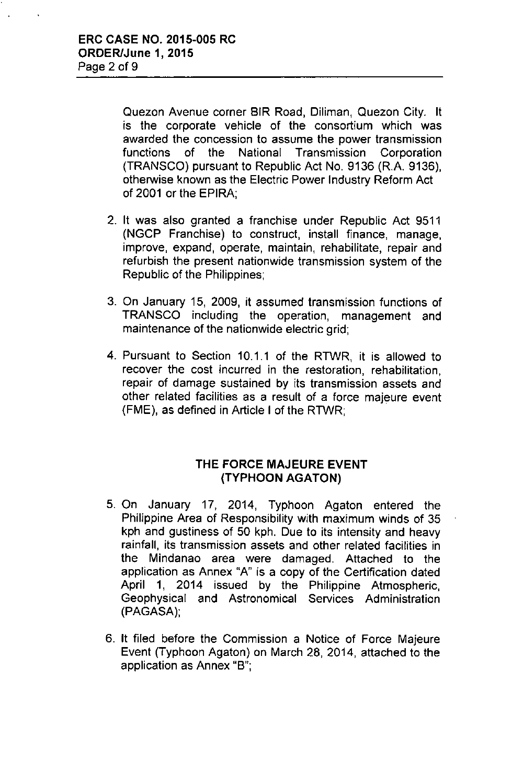Quezon Avenue corner BIR Road, Diliman, Quezon City. It is the corporate vehicle of the consortium which was awarded the concession to assume the power transmission functions of the National Transmission Corporation (TRANSCO) pursuant to Republic Act No. 9136 (R.A. 9136), otherwise known as the Electric Power Industry Reform Act of 2001 or the EPIRA;

- 2. It was also granted a franchise under Republic Act 9511 (NGCP Franchise) to construct, install finance, manage, improve, expand, operate, maintain, rehabilitate, repair and refurbish the present nationwide transmission system of the Republic of the Philippines;
- 3. On January 15, 2009, it assumed transmission functions of TRANSCO including the operation, management and maintenance of the nationwide electric grid;
- 4. Pursuant to Section 10.1.1 of the RTWR, it is allowed to recover the cost incurred in the restoration, rehabilitation, repair of damage sustained by its transmission assets and other related facilities as a result of a force majeure event (FME), as defined in Article I of the RTWR;

# **THE FORCE MAJEURE EVENT (TYPHOON AGATON)**

- 5. On January 17, 2014, Typhoon Agaton entered the Philippine Area of Responsibility with maximum winds of 35 kph and gustiness of 50 kph. Due to its intensity and heavy rainfall, its transmission assets and other related facilities in the Mindanao area were damaged. Attached to the application as Annex "A" is a copy of the Certification dated April 1, 2014 issued by the Philippine Atmospheric, Geophysical and Astronomical Services Administration (PAGASA);
- 6. It filed before the Commission a Notice of Force Majeure Event (Typhoon Agaton) on March 28, 2014, attached to the application as Annex "B";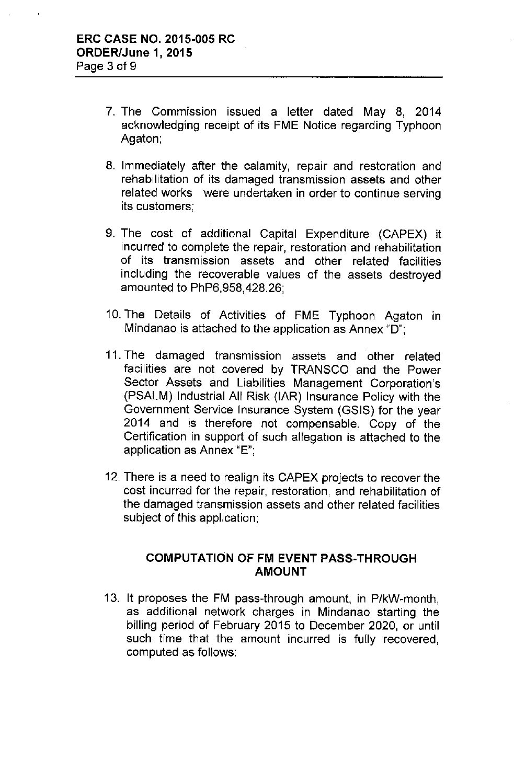- 7. The Commission issued a letter dated May 8, 2014 acknowledging receipt of its FME Notice regarding Typhoon Agaton;
- 8. Immediately after the calamity, repair and restoration and rehabilitation of its damaged transmission assets and other related works were undertaken in order to continue serving its customers;
- 9. The cost of additional Capital Expenditure (CAPEX) it incurred to complete the repair, restoration and rehabilitation of its transmission assets and other related facilities including the recoverable values of the assets destroyed amounted to PhP6,958,428.26;
- 10. The Details of Activities of FME Typhoon Agaton in Mindanao is attached to the application as Annex "D";
- 11. The damaged transmission assets and other related facilities are not covered by TRANSCO and the Power Sector Assets and Liabilities Management Corporation's (PSALM) Industrial All Risk (IAR) Insurance Policy with the Government Service Insurance System (GSIS) for the year 2014 and is therefore not compensable. Copy of the Certification in support of such allegation is attached to the application as Annex "E";
- 12. There is a need to realign its CAPEX projects to recover the cost incurred for the repair, restoration, and rehabilitation of the damaged transmission assets and other related facilities subject of this application;

# COMPUTATION OF FM EVENT PASS-THROUGH AMOUNT

13. It proposes the FM pass-through amount, in P/kW-month, as additional network charges in Mindanao starting the billing period of February 2015 to December 2020, or until such time that the amount incurred is fully recovered, computed as follows: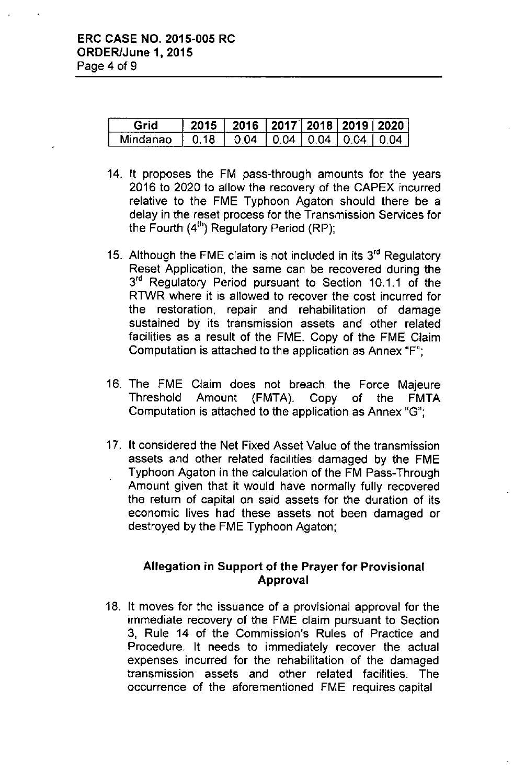| Grid     |      | 2016   2017   2018   2019   2020 |  |  |
|----------|------|----------------------------------|--|--|
| Mindanao | 0.18 | 1004100410041004                 |  |  |

- 14. It proposes the FM pass-through amounts for the years 2016 to 2020 to allow the recovery of the CAPEX incurred relative to the FME Typhoon Agaton should there be a delay in the reset process for the Transmission Services for the Fourth (4<sup>th</sup>) Regulatory Period (RP);
- 15. Although the FME claim is not included in its 3<sup>rd</sup> Regulatory Reset Application, the same can be recovered during the 3<sup>rd</sup> Regulatory Period pursuant to Section 10.1.1 of the RTWR where it is allowed to recover the cost incurred for the restoration, repair and rehabilitation of damage sustained by its transmission assets and other related facilities as a result of the FME. Copy of the FME Claim Computation is attached to the application as Annex "F";
- 16. The FME Ciaim does not breach the Force Majeure Threshold Amount (FMTA). Copy of the FMTA Computation is attached to the application as Annex "G";
- 17. It considered the Net Fixed Asset Value of the transmission assets and other related facilities damaged by the FME Typhoon Agaton in the calculation of the FM Pass-Through Amount given that it would have normally fully recovered the return of capital on said assets for the duration of its economic lives had these assets not been damaged or destroyed by the FME Typhoon Agaton;

# Allegation in Support of the Prayer for Provisional Approval

18. It moves for the issuance of a provisional approval for the immediate recovery of the FME claim pursuant to Section 3, Rule 14 of the Commission's Rules of Practice and Procedure. It needs to immediately recover the actual expenses incurred for the rehabilitation of the damaged transmission assets and other related facilities. The occurrence of the aforementioned FME requires capital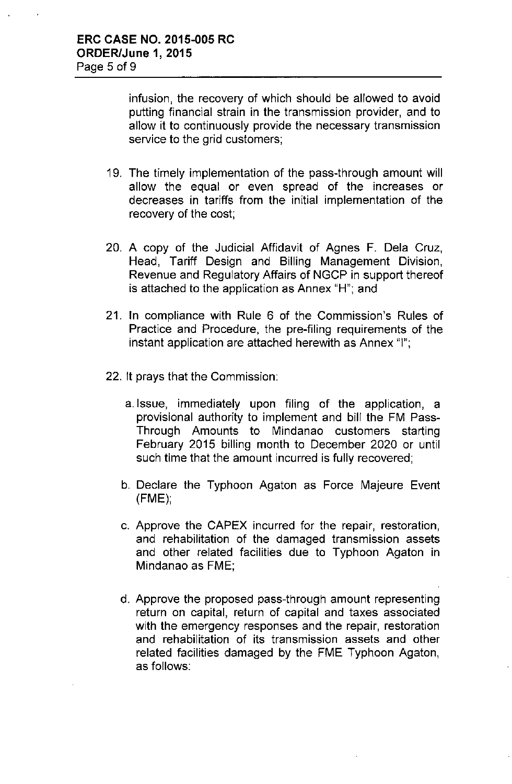infusion, the recovery of which should be allowed to avoid putting financial strain in the transmission provider, and to allow it to continuously provide the necessary transmission service to the grid customers;

- 19. The timely implementation of the pass-through amount will allow the equal or even spread of the increases or decreases in tariffs from the initial implementation of the recovery of the cost;
- 20. A copy of the Judicial Affidavit of Agnes F. Dela Cruz, Head, Tariff Design and Billing Management Division, Revenue and Regulatory Affairs of NGCP in support thereof is attached to the application as Annex "H"; and
- 21. In compliance with Rule 6 of the Commission's Rules of Practice and Procedure, the pre-filing requirements of the instant application are attached herewith as Annex "I";
- 22. It prays that the Commission:
	- a.lssue, immediately upon filing of the application, a provisional authority to implement and bill the FM Pass-Through Amounts to Mindanao customers starting February 2015 billing month to December 2020 or until such time that the amount incurred is fully recovered;
	- b. Declare the Typhoon Agaton as Force Majeure Event (FME);
	- c. Approve the CAPEX incurred for the repair, restoration, and rehabilitation of the damaged transmission assets and other related facilities due to Typhoon Agaton in Mindanao as FME;
	- d. Approve the proposed pass-through amount representing return on capital, return of capital and taxes associated with the emergency responses and the repair, restoration and rehabilitation of its transmission assets and other related facilities damaged by the FME Typhoon Agaton, as follows: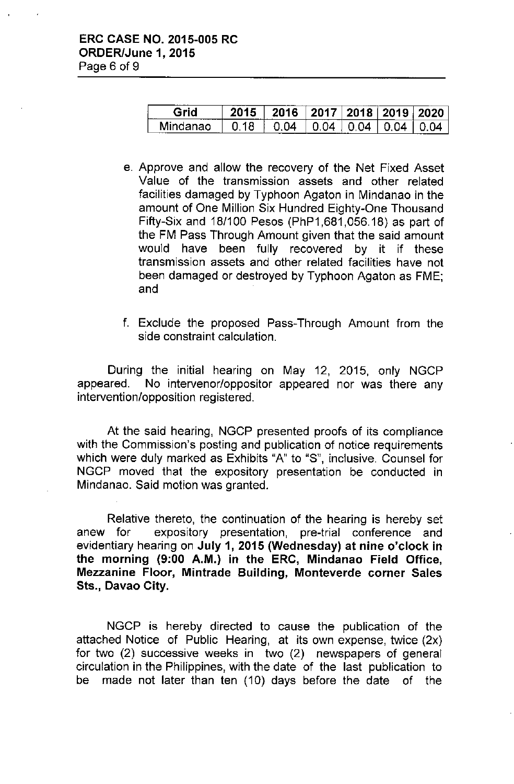| الدامية<br>----- |    | $^{\circ}$ 2016 $^{\circ}$ . | $\pm$ 2017 $\pm$ | 2018 2019 2020 |  |
|------------------|----|------------------------------|------------------|----------------|--|
| man              | 18 | ٦Δ                           | ١Д<br>-----      | ่า⊿            |  |

- e. Approve and allow the recovery of the Net Fixed Asset Value of the transmission assets and other related facilities damaged by Typhoon Agaton in Mindanao in the amount of One Million Six Hundred Eighty-One Thousand Fifty-Six and 18/100 Pesos (PhP1,681,056.18) as part of the FM Pass Through Amount given that the said amount would have been fully recovered by it if these transmission assets and other related facilities have not been damaged or destroyed by Typhoon Agaton as FME; and
- f. Exclude the proposed Pass-Through Amount from the side constraint calculation.

During the initial hearing on May 12, 2015, only NGCP appeared. No intervenor/oppositor appeared nor was there any intervention/opposition registered.

At the said hearing, NGCP presented proofs of its compliance with the Commission's posting and publication of notice requirements which were duly marked as Exhibits "A" to "S", inclusive. Counsel for NGCP moved that the expository presentation be conducted in Mindanao. Said motion was granted.

Relative thereto, the continuation of the hearing is hereby set anew for expository presentation, pre-trial conference and evidentiary hearing on July 1, 2015 (Wednesday) at nine o'clock in the morning (9:00 A.M.) in the ERC, Mindanao Field Office, Mezzanine Floor, Mintrade Building, Monteverde corner Sales Sts., Davao City.

NGCP is hereby directed to cause the publication of the attached Notice of Public Hearing, at its own expense, twice (2x) for two (2) successive weeks in two (2) newspapers of general circulation in the Philippines, with the date of the last publication to be made not later than ten (10) days before the date of the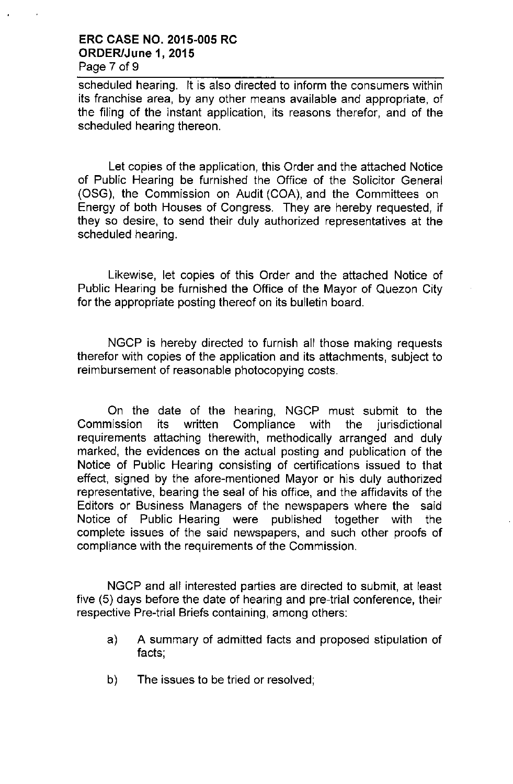#### **ERC CASE NO. 2015-005 RC ORDER/June 1, 2015** Page 7 of 9

scheduled hearing. It is also directed to inform the consumers within its franchise area, by any other means available and appropriate, of the filing of the instant application, its reasons therefor, and of the scheduled hearing thereon.

Let copies of the application, this Order and the attached Notice of Public Hearing be furnished the Office of the Solicitor General (OSG), the Commission on Audit (COA), and the Committees on Energy of both Houses of Congress. They are hereby requested, if they so desire, to send their duly authorized representatives at the scheduled hearing.

Likewise, let copies of this Order and the attached Notice of Public Hearing be furnished the Office of the Mayor of Quezon City for the appropriate posting thereof on its bulletin board.

NGCP is hereby directed to furnish all those making requests therefor with copies of the application and its attachments, subject to reimbursement of reasonable photocopying costs.

On the date of the hearing, NGCP must submit to the Commission its written Compliance with the jurisdictional requirements attaching therewith, methodicaliy arranged and duly marked, the evidences on the actual posting and publication of the Notice of Public Hearing consisting of certifications issued to that effect, signed by the afore-mentioned Mayor or his duly authorized representative, bearing the seal of his office, and the affidavits of the Editors or Business Managers of the newspapers where the said Notice of Public Hearing were published together with the complete issues of the said newspapers, and such other proofs of compliance with the requirements of the Commission.

NGCP and all interested parties are directed to submit, at least five (5) days before the date of hearing and pre-trial conference, their respective Pre-trial Briefs containing, among others:

- a) A summary of admitted facts and proposed stipulation of facts;
- b) The issues to be tried or resolved;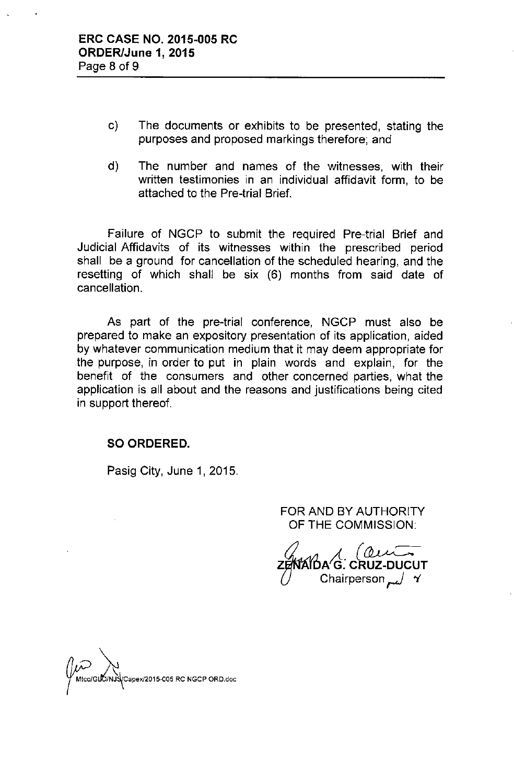- c) The documents or exhibits to be presented, stating the purposes and proposed markings therefore; and
- d) The number and names of the witnesses, with their written testimonies in an individual affidavit form, to be attached to the Pre-trial Brief.

Failure of NGCP to submit the required Pre-trial Brief and Judicial Affidavits of its witnesses within the prescribed period shall be a ground for cancellation of the scheduled hearing, and the resetting of which shall be six (6) months from said date of cancellation.

As part of the pre-trial conference, NGCP must also be prepared to make an expository presentation of its application, aided by whatever communication medium that it may deem appropriate for the purpose, in order to put in plain words and explain, for the benefit of the consumers and other concerned parties, what the application is all about and the reasons and justifications being cited in support thereof.

#### **SO ORDERED.**

Pasig City, June 1, 2015.

FOR AND BY AUTHORITY OF THE COMMISSION:

 $\mathcal O$  $(a\nu)$ ZĔ**/N**ĂIDA´G. CRUZ-DUCU r /<sub>سم</sub> Chairperson

Mtco/GLO/NJS/Capex/2015-005 RC NGCP ORD.doc